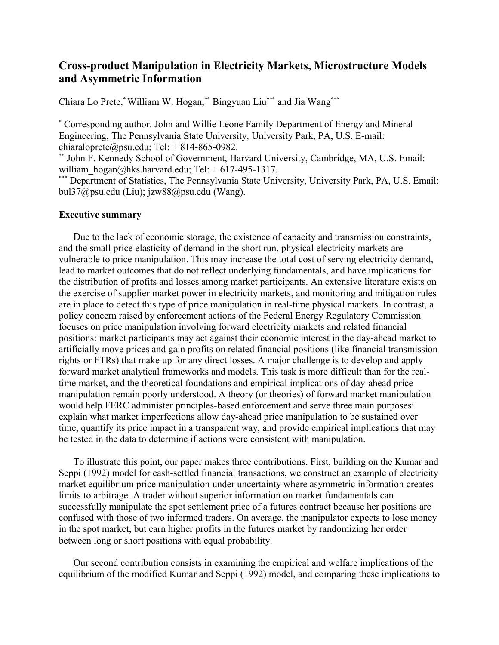## **Cross-product Manipulation in Electricity Markets, Microstructure Models and Asymmetric Information**

Chiara Lo Prete,\* William W. Hogan,\*\* Bingyuan Liu\*\*\* and Jia Wang\*\*\*

\* Corresponding author. John and Willie Leone Family Department of Energy and Mineral Engineering, The Pennsylvania State University, University Park, PA, U.S. E-mail: chiaraloprete@psu.edu; Tel:  $+ 814-865-0982$ .

\*\* John F. Kennedy School of Government, Harvard University, Cambridge, MA, U.S. Email: william hogan@hks.harvard.edu; Tel: + 617-495-1317.

\*\*\* Department of Statistics, The Pennsylvania State University, University Park, PA, U.S. Email: bul37@psu.edu (Liu); jzw88@psu.edu (Wang).

## **Executive summary**

Due to the lack of economic storage, the existence of capacity and transmission constraints, and the small price elasticity of demand in the short run, physical electricity markets are vulnerable to price manipulation. This may increase the total cost of serving electricity demand, lead to market outcomes that do not reflect underlying fundamentals, and have implications for the distribution of profits and losses among market participants. An extensive literature exists on the exercise of supplier market power in electricity markets, and monitoring and mitigation rules are in place to detect this type of price manipulation in real-time physical markets. In contrast, a policy concern raised by enforcement actions of the Federal Energy Regulatory Commission focuses on price manipulation involving forward electricity markets and related financial positions: market participants may act against their economic interest in the day-ahead market to artificially move prices and gain profits on related financial positions (like financial transmission rights or FTRs) that make up for any direct losses. A major challenge is to develop and apply forward market analytical frameworks and models. This task is more difficult than for the realtime market, and the theoretical foundations and empirical implications of day-ahead price manipulation remain poorly understood. A theory (or theories) of forward market manipulation would help FERC administer principles-based enforcement and serve three main purposes: explain what market imperfections allow day-ahead price manipulation to be sustained over time, quantify its price impact in a transparent way, and provide empirical implications that may be tested in the data to determine if actions were consistent with manipulation.

To illustrate this point, our paper makes three contributions. First, building on the Kumar and Seppi (1992) model for cash-settled financial transactions, we construct an example of electricity market equilibrium price manipulation under uncertainty where asymmetric information creates limits to arbitrage. A trader without superior information on market fundamentals can successfully manipulate the spot settlement price of a futures contract because her positions are confused with those of two informed traders. On average, the manipulator expects to lose money in the spot market, but earn higher profits in the futures market by randomizing her order between long or short positions with equal probability.

Our second contribution consists in examining the empirical and welfare implications of the equilibrium of the modified Kumar and Seppi (1992) model, and comparing these implications to